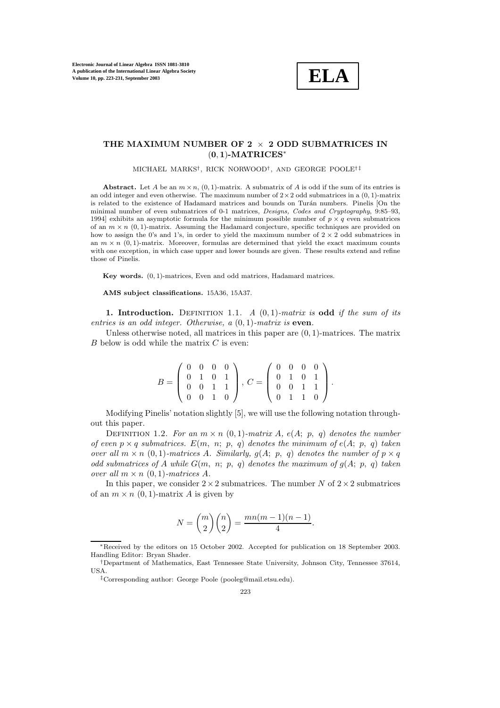**Electronic Journal of Linear Algebra ISSN 1081-3810 A publication of the International Linear Algebra Society Volume 10, pp. 223-231, September 2003**



# **THE MAXIMUM NUMBER OF 2** <sup>×</sup> **2 ODD SUBMATRICES IN** (**0**, **1**)**-MATRICES**<sup>∗</sup>

#### MICHAEL MARKS†, RICK NORWOOD†, AND GEORGE POOLE† ‡

Abstract. Let A be an  $m \times n$ , (0, 1)-matrix. A submatrix of A is odd if the sum of its entries is an odd integer and even otherwise. The maximum number of  $2 \times 2$  odd submatrices in a  $(0, 1)$ -matrix is related to the existence of Hadamard matrices and bounds on Turán numbers. Pinelis [On the minimal number of even submatrices of 0-1 matrices, *Designs, Codes and Cryptography*, 9:85–93, 1994] exhibits an asymptotic formula for the minimum possible number of  $p \times q$  even submatrices of an  $m \times n$  (0, 1)-matrix. Assuming the Hadamard conjecture, specific techniques are provided on how to assign the 0's and 1's, in order to yield the maximum number of  $2 \times 2$  odd submatrices in an  $m \times n$  (0, 1)-matrix. Moreover, formulas are determined that yield the exact maximum counts with one exception, in which case upper and lower bounds are given. These results extend and refine those of Pinelis.

**Key words.** (0, 1)-matrices, Even and odd matrices, Hadamard matrices.

**AMS subject classifications.** 15A36, 15A37.

**1. Introduction.** DEFINITION 1.1. A  $(0, 1)$ -matrix is **odd** if the sum of its entries is an odd integer. Otherwise, a (0, 1)-matrix is **even**.

Unless otherwise noted, all matrices in this paper are  $(0, 1)$ -matrices. The matrix  $B$  below is odd while the matrix  $C$  is even:

$$
B = \left(\begin{array}{rrr} 0 & 0 & 0 & 0 \\ 0 & 1 & 0 & 1 \\ 0 & 0 & 1 & 1 \\ 0 & 0 & 1 & 0 \end{array}\right), C = \left(\begin{array}{rrr} 0 & 0 & 0 & 0 \\ 0 & 1 & 0 & 1 \\ 0 & 0 & 1 & 1 \\ 0 & 1 & 1 & 0 \end{array}\right).
$$

Modifying Pinelis' notation slightly [5], we will use the following notation throughout this paper.

DEFINITION 1.2. For an  $m \times n$  (0,1)-matrix A, e(A; p, q) denotes the number of even  $p \times q$  submatrices.  $E(m, n; p, q)$  denotes the minimum of  $e(A; p, q)$  taken over all  $m \times n$  (0, 1)-matrices A. Similarly,  $g(A; p, q)$  denotes the number of  $p \times q$ odd submatrices of A while  $G(m, n; p, q)$  denotes the maximum of  $g(A; p, q)$  taken over all  $m \times n$  (0, 1)-matrices A.

In this paper, we consider  $2 \times 2$  submatrices. The number N of  $2 \times 2$  submatrices of an  $m \times n$  (0, 1)-matrix A is given by

$$
N = \binom{m}{2} \binom{n}{2} = \frac{mn(m-1)(n-1)}{4}.
$$

<sup>∗</sup>Received by the editors on 15 October 2002.Accepted for publication on 18 September 2003. Handling Editor: Bryan Shader.

<sup>†</sup>Department of Mathematics, East Tennessee State University, Johnson City, Tennessee 37614, USA.

<sup>‡</sup>Corresponding author: George Poole (pooleg@mail.etsu.edu).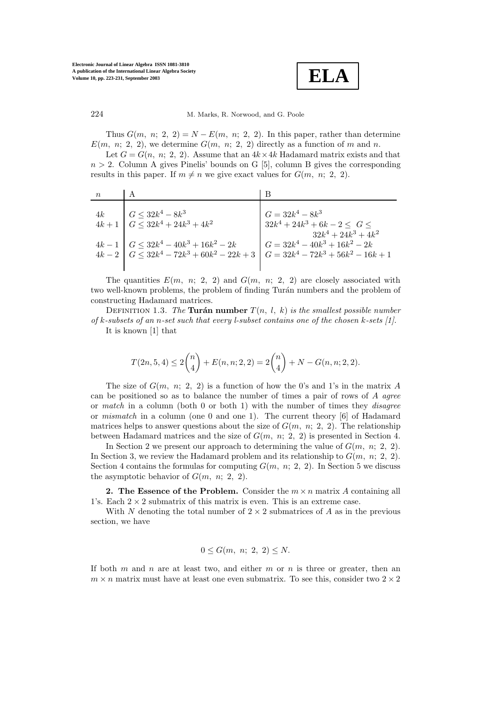

Thus  $G(m, n; 2, 2) = N - E(m, n; 2, 2)$ . In this paper, rather than determine  $E(m, n; 2, 2)$ , we determine  $G(m, n; 2, 2)$  directly as a function of m and n.

Let  $G = G(n, n; 2, 2)$ . Assume that an  $4k \times 4k$  Hadamard matrix exists and that  $n > 2$ . Column A gives Pinelis' bounds on G [5], column B gives the corresponding results in this paper. If  $m \neq n$  we give exact values for  $G(m, n; 2, 2)$ .

| 4k | $G \leq 32k^4 - 8k^3$                                                                 | $G = 32k^4 - 8k^3$                   |
|----|---------------------------------------------------------------------------------------|--------------------------------------|
|    | $4k+1$ $G \leq 32k^4 + 24k^3 + 4k^2$                                                  | $32k^4 + 24k^3 + 6k - 2 \leq G \leq$ |
|    |                                                                                       | $32k^4 + 24k^3 + 4k^2$               |
|    | $4k-1$ $G \leq 32k^4 - 40k^3 + 16k^2 - 2k$                                            | $G = 32k^4 - 40k^3 + 16k^2 - 2k$     |
|    | $4k-2$ $G \leq 32k^4 - 72k^3 + 60k^2 - 22k + 3$ $G = 32k^4 - 72k^3 + 56k^2 - 16k + 1$ |                                      |
|    |                                                                                       |                                      |

The quantities  $E(m, n; 2, 2)$  and  $G(m, n; 2, 2)$  are closely associated with two well-known problems, the problem of finding Turán numbers and the problem of constructing Hadamard matrices.

DEFINITION 1.3. The **Turán number**  $T(n, l, k)$  is the smallest possible number of k-subsets of an n-set such that every l-subset contains one of the chosen k-sets  $[1]$ . It is known [1] that

$$
T(2n, 5, 4) \le 2\binom{n}{4} + E(n, n; 2, 2) = 2\binom{n}{4} + N - G(n, n; 2, 2).
$$

The size of  $G(m, n; 2, 2)$  is a function of how the 0's and 1's in the matrix A can be positioned so as to balance the number of times a pair of rows of A agree or match in a column (both 0 or both 1) with the number of times they *disagree* or mismatch in a column (one 0 and one 1). The current theory[6] of Hadamard matrices helps to answer questions about the size of  $G(m, n; 2, 2)$ . The relationship between Hadamard matrices and the size of  $G(m, n; 2, 2)$  is presented in Section 4.

In Section 2 we present our approach to determining the value of  $G(m, n; 2, 2)$ . In Section 3, we review the Hadamard problem and its relationship to  $G(m, n; 2, 2)$ . Section 4 contains the formulas for computing  $G(m, n; 2, 2)$ . In Section 5 we discuss the asymptotic behavior of  $G(m, n; 2, 2)$ .

**2.** The Essence of the Problem. Consider the  $m \times n$  matrix A containing all 1's. Each  $2 \times 2$  submatrix of this matrix is even. This is an extreme case.

With N denoting the total number of  $2 \times 2$  submatrices of A as in the previous section, we have

$$
0\leq G(m, n; 2, 2)\leq N.
$$

If both  $m$  and  $n$  are at least two, and either  $m$  or  $n$  is three or greater, then an  $m \times n$  matrix must have at least one even submatrix. To see this, consider two  $2 \times 2$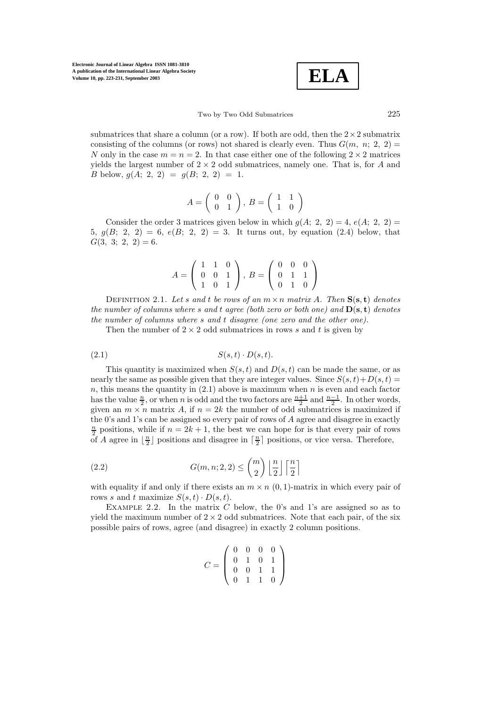$$
\boxed{\text{ELA}}
$$

Two by Two Odd Submatrices 225

submatrices that share a column (or a row). If both are odd, then the  $2 \times 2$  submatrix consisting of the columns (or rows) not shared is clearly even. Thus  $G(m, n; 2, 2)$ N only in the case  $m = n = 2$ . In that case either one of the following  $2 \times 2$  matrices yields the largest number of  $2 \times 2$  odd submatrices, namely one. That is, for A and B below,  $q(A; 2, 2) = q(B; 2, 2) = 1$ .

$$
A=\left(\begin{array}{cc} 0 & 0 \\ 0 & 1 \end{array}\right),\ B=\left(\begin{array}{cc} 1 & 1 \\ 1 & 0 \end{array}\right)
$$

Consider the order 3 matrices given below in which  $g(A; 2, 2) = 4$ ,  $e(A; 2, 2) =$ 5,  $g(B; 2, 2) = 6$ ,  $e(B; 2, 2) = 3$ . It turns out, by equation (2.4) below, that  $G(3, 3; 2, 2) = 6.$ 

$$
A = \left(\begin{array}{rrr} 1 & 1 & 0 \\ 0 & 0 & 1 \\ 1 & 0 & 1 \end{array}\right), B = \left(\begin{array}{rrr} 0 & 0 & 0 \\ 0 & 1 & 1 \\ 0 & 1 & 0 \end{array}\right)
$$

DEFINITION 2.1. Let s and t be rows of an  $m \times n$  matrix A. Then  $S(s, t)$  denotes the number of columns where s and t agree (both zero or both one) and **D**(**s**, **t**) denotes the number of columns where s and t disagree (one zero and the other one).

Then the number of  $2 \times 2$  odd submatrices in rows s and t is given by

$$
(2.1) \tS(s,t) \cdot D(s,t).
$$

This quantity is maximized when  $S(s, t)$  and  $D(s, t)$  can be made the same, or as nearly the same as possible given that they are integer values. Since  $S(s, t) + D(s, t) =$  $n$ , this means the quantity in  $(2.1)$  above is maximum when  $n$  is even and each factor has the value  $\frac{n}{2}$ , or when *n* is odd and the two factors are  $\frac{n+1}{2}$  and  $\frac{n-1}{2}$ . In other words, given an  $m \times n$  matrix A, if  $n = 2k$  the number of odd submatrices is maximized if the 0's and 1's can be assigned so every pair of rows of  $A$  agree and disagree in exactly  $\frac{n}{2}$  positions, while if  $n = 2k + 1$ , the best we can hope for is that every pair of rows of A agree in  $\lfloor \frac{n}{2} \rfloor$  positions and disagree in  $\lceil \frac{n}{2} \rceil$  positions, or vice versa. Therefore,

(2.2) 
$$
G(m, n; 2, 2) \leq {m \choose 2} \left\lfloor \frac{n}{2} \right\rfloor \left\lceil \frac{n}{2} \right\rceil
$$

with equality if and only if there exists an  $m \times n$  (0, 1)-matrix in which every pair of rows s and t maximize  $S(s,t) \cdot D(s,t)$ .

EXAMPLE 2.2. In the matrix  $C$  below, the 0's and 1's are assigned so as to yield the maximum number of  $2 \times 2$  odd submatrices. Note that each pair, of the six possible pairs of rows, agree (and disagree) in exactly2 column positions.

$$
C = \left(\begin{array}{rrr} 0 & 0 & 0 & 0 \\ 0 & 1 & 0 & 1 \\ 0 & 0 & 1 & 1 \\ 0 & 1 & 1 & 0 \end{array}\right)
$$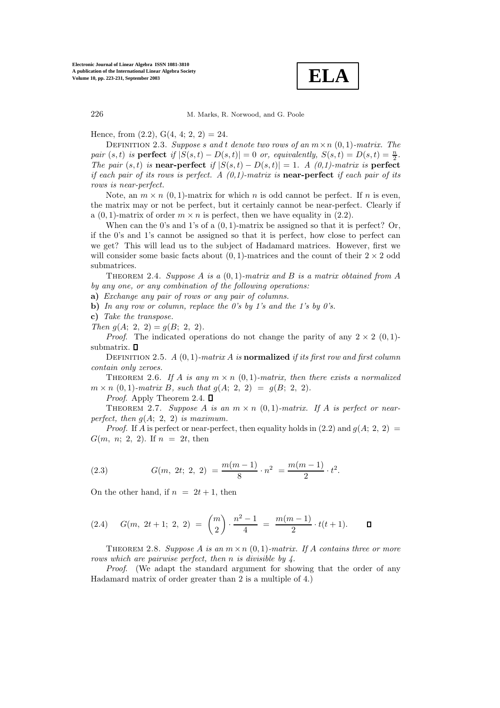

Hence, from  $(2.2)$ ,  $G(4, 4; 2, 2) = 24$ .

DEFINITION 2.3. Suppose s and t denote two rows of an  $m \times n$  (0, 1)-matrix. The pair  $(s, t)$  is **perfect** if  $|S(s,t) - D(s,t)| = 0$  or, equivalently,  $S(s,t) = D(s,t) = \frac{n}{2}$ . The pair  $(s, t)$  is **near-perfect** if  $|S(s, t) - D(s, t)| = 1$ . A  $(0, 1)$ -matrix is **perfect** if each pair of its rows is perfect. A (0,1)-matrix is **near-perfect** if each pair of its rows is near-perfect.

Note, an  $m \times n$  (0, 1)-matrix for which n is odd cannot be perfect. If n is even, the matrix mayor not be perfect, but it certainlycannot be near-perfect. Clearlyif a  $(0, 1)$ -matrix of order  $m \times n$  is perfect, then we have equality in  $(2.2)$ .

When can the 0's and 1's of a  $(0, 1)$ -matrix be assigned so that it is perfect? Or, if the 0's and 1's cannot be assigned so that it is perfect, how close to perfect can we get? This will lead us to the subject of Hadamard matrices. However, first we will consider some basic facts about  $(0, 1)$ -matrices and the count of their  $2 \times 2$  odd submatrices.

THEOREM 2.4. Suppose A is a  $(0, 1)$ -matrix and B is a matrix obtained from A by any one, or any combination of the following operations:

**a)** Exchange any pair of rows or any pair of columns.

**b)** In any row or column, replace the 0's by 1's and the 1's by 0's.

**c)** Take the transpose.

Then  $g(A; 2, 2) = g(B; 2, 2)$ .

*Proof.* The indicated operations do not change the parity of any  $2 \times 2$  (0, 1)submatrix.  $\square$ 

DEFINITION 2.5.  $A(0,1)$ -matrix A is **normalized** if its first row and first column contain only zeroes.

THEOREM 2.6. If A is any  $m \times n$  (0, 1)-matrix, then there exists a normalized  $m \times n$  (0, 1)-matrix B, such that  $g(A; 2, 2) = g(B; 2, 2)$ .

*Proof.* Apply Theorem 2.4.  $\square$ 

THEOREM 2.7. Suppose A is an  $m \times n$  (0,1)-matrix. If A is perfect or nearperfect, then  $g(A; 2, 2)$  is maximum.

*Proof.* If A is perfect or near-perfect, then equality holds in (2.2) and  $g(A; 2, 2) =$  $G(m, n; 2, 2)$ . If  $n = 2t$ , then

(2.3) 
$$
G(m, 2t; 2, 2) = \frac{m(m-1)}{8} \cdot n^2 = \frac{m(m-1)}{2} \cdot t^2.
$$

On the other hand, if  $n = 2t + 1$ , then

$$
(2.4) \quad G(m, 2t+1; 2, 2) = {m \choose 2} \cdot \frac{n^2-1}{4} = \frac{m(m-1)}{2} \cdot t(t+1). \qquad \Box
$$

THEOREM 2.8. Suppose A is an  $m \times n$  (0, 1)-matrix. If A contains three or more rows which are pairwise perfect, then n is divisible by 4.

Proof. (We adapt the standard argument for showing that the order of any Hadamard matrix of order greater than 2 is a multiple of 4.)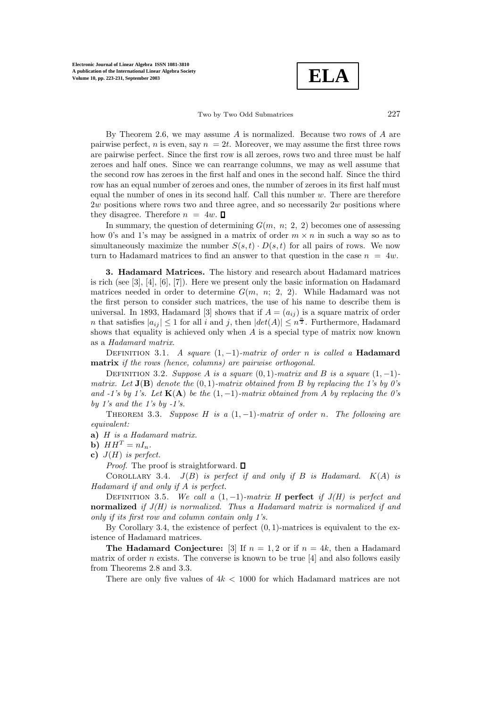**Electronic Journal of Linear Algebra ISSN 1081-3810 A publication of the International Linear Algebra Society Volume 10, pp. 223-231, September 2003**

**ELA**

Two by Two Odd Submatrices 227

By Theorem 2.6, we may assume A is normalized. Because two rows of A are pairwise perfect, n is even, say  $n = 2t$ . Moreover, we may assume the first three rows are pairwise perfect. Since the first row is all zeroes, rows two and three must be half zeroes and half ones. Since we can rearrange columns, we mayas well assume that the second row has zeroes in the first half and ones in the second half. Since the third row has an equal number of zeroes and ones, the number of zeroes in its first half must equal the number of ones in its second half. Call this number  $w$ . There are therefore  $2w$  positions where rows two and three agree, and so necessarily  $2w$  positions where they disagree. Therefore  $n = 4w$ .  $\Box$ 

In summary, the question of determining  $G(m, n; 2, 2)$  becomes one of assessing how 0's and 1's may be assigned in a matrix of order  $m \times n$  in such a way so as to simultaneously maximize the number  $S(s,t) \cdot D(s,t)$  for all pairs of rows. We now turn to Hadamard matrices to find an answer to that question in the case  $n = 4w$ .

**3. Hadamard Matrices.** The historyand research about Hadamard matrices is rich (see [3], [4], [6], [7]). Here we present only the basic information on Hadamard matrices needed in order to determine  $G(m, n; 2, 2)$ . While Hadamard was not the first person to consider such matrices, the use of his name to describe them is universal. In 1893, Hadamard [3] shows that if  $A = (a_{ij})$  is a square matrix of order *n* that satisfies  $|a_{ij}| \leq 1$  for all *i* and *j*, then  $|det(A)| \leq n^{\frac{n}{2}}$ . Furthermore, Hadamard shows that equality is achieved only when  $A$  is a special type of matrix now known as a Hadamard matrix.

Definition 3.1. A square (1, <sup>−</sup>1)-matrix of order <sup>n</sup> is called a **Hadamard matrix** if the rows (hence, columns) are pairwise orthogonal.

DEFINITION 3.2. Suppose A is a square  $(0, 1)$ -matrix and B is a square  $(1, -1)$ matrix. Let  $J(B)$  denote the  $(0, 1)$ -matrix obtained from B by replacing the 1's by 0's and  $-1$ 's by 1's. Let  $K(A)$  be the  $(1, -1)$ -matrix obtained from A by replacing the 0's by 1's and the 1's by  $-1's$ .

THEOREM 3.3. Suppose H is a  $(1,-1)$ -matrix of order n. The following are equivalent:

**a)** H is a Hadamard matrix.

**b**)  $HH^T = nI_n$ .

**c**)  $J(H)$  is perfect.

*Proof.* The proof is straightforward.  $\square$ 

COROLLARY 3.4.  $J(B)$  is perfect if and only if B is Hadamard.  $K(A)$  is Hadamard if and only if A is perfect.

DEFINITION 3.5. We call a  $(1, -1)$ -matrix H **perfect** if  $J(H)$  is perfect and **normalized** if J(H) is normalized. Thus a Hadamard matrix is normalized if and only if its first row and column contain only 1's.

By Corollary 3.4, the existence of perfect  $(0, 1)$ -matrices is equivalent to the existence of Hadamard matrices.

**The Hadamard Conjecture:** [3] If  $n = 1, 2$  or if  $n = 4k$ , then a Hadamard matrix of order *n* exists. The converse is known to be true  $[4]$  and also follows easily from Theorems 2.8 and 3.3.

There are only five values of  $4k < 1000$  for which Hadamard matrices are not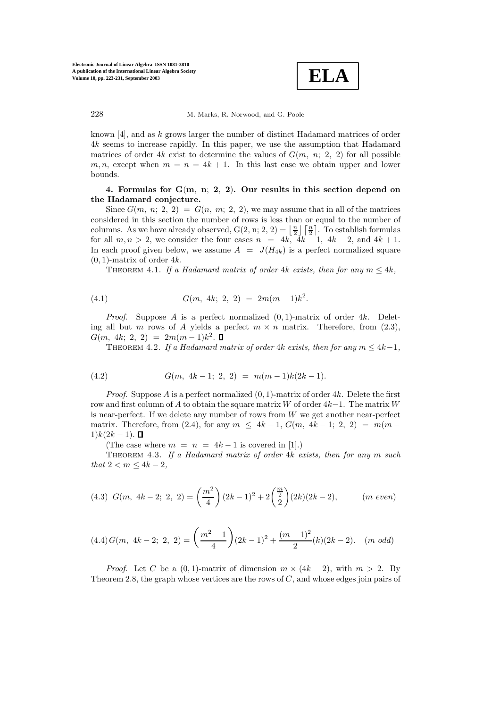

known [4], and as k grows larger the number of distinct Hadamard matrices of order 4k seems to increase rapidly. In this paper, we use the assumption that Hadamard matrices of order 4k exist to determine the values of  $G(m, n; 2, 2)$  for all possible  $m, n$ , except when  $m = n = 4k + 1$ . In this last case we obtain upper and lower bounds.

## **4. Formulas for G**(**m**, **n**; **2**, **2**)**. Our results in this section depend on the Hadamard conjecture.**

Since  $G(m, n; 2, 2) = G(n, m; 2, 2)$ , we may assume that in all of the matrices considered in this section the number of rows is less than or equal to the number of columns. As we have already observed,  $G(2, n; 2, 2) = \lfloor \frac{n}{2} \rfloor \lceil \frac{n}{2} \rceil$ . To establish formulas for all  $m, n > 2$ , we consider the four cases  $n = 4k$ ,  $4k - 1$ ,  $4k - 2$ , and  $4k + 1$ . In each proof given below, we assume  $A = J(H_{4k})$  is a perfect normalized square  $(0, 1)$ -matrix of order 4k.

THEOREM 4.1. If a Hadamard matrix of order 4k exists, then for any  $m \leq 4k$ ,

(4.1) 
$$
G(m, 4k; 2, 2) = 2m(m-1)k^2.
$$

*Proof.* Suppose A is a perfect normalized  $(0, 1)$ -matrix of order 4k. Deleting all but m rows of A yields a perfect  $m \times n$  matrix. Therefore, from (2.3),  $G(m, 4k; 2, 2) = 2m(m-1)k^2$ .

THEOREM 4.2. If a Hadamard matrix of order 4k exists, then for any  $m \leq 4k-1$ ,

(4.2) 
$$
G(m, 4k-1; 2, 2) = m(m-1)k(2k-1).
$$

*Proof.* Suppose A is a perfect normalized  $(0, 1)$ -matrix of order 4k. Delete the first row and first column of A to obtain the square matrix W of order  $4k-1$ . The matrix W is near-perfect. If we delete any number of rows from  $W$  we get another near-perfect matrix. Therefore, from (2.4), for any  $m \leq 4k - 1$ ,  $G(m, 4k - 1; 2, 2) = m(m 1)k(2k-1)$ . □

(The case where  $m = n = 4k - 1$  is covered in [1].)

THEOREM 4.3. If a Hadamard matrix of order  $4k$  exists, then for any m such that  $2 < m \leq 4k - 2$ ,

$$
(4.3) \ \ G(m, \ 4k-2; \ 2, \ 2) = \left(\frac{m^2}{4}\right)(2k-1)^2 + 2\left(\frac{m}{2}\right)(2k)(2k-2), \qquad (m \ even)
$$

$$
(4.4) G(m, 4k-2; 2, 2) = \left(\frac{m^2-1}{4}\right)(2k-1)^2 + \frac{(m-1)^2}{2}(k)(2k-2). \quad (m \text{ odd})
$$

*Proof.* Let C be a  $(0, 1)$ -matrix of dimension  $m \times (4k - 2)$ , with  $m > 2$ . By Theorem 2.8, the graph whose vertices are the rows of  $C$ , and whose edges join pairs of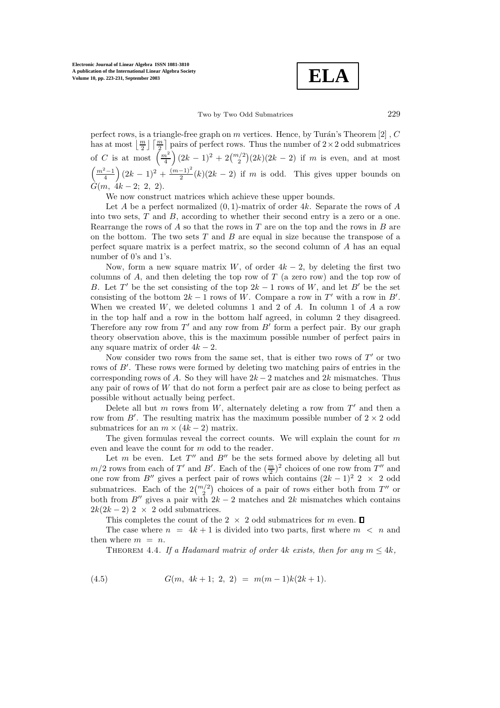**ELA**

### Two by Two Odd Submatrices 229

perfect rows, is a triangle-free graph on m vertices. Hence, by Turán's Theorem [2],  $C$ has at most  $\lfloor \frac{m}{2} \rfloor \lceil \frac{m}{2} \rceil$  pairs of perfect rows. Thus the number of  $2 \times 2$  odd submatrices of C is at most  $\left(\frac{m^2}{4}\right)(2k-1)^2 + 2\binom{m/2}{2}(2k)(2k-2)$  if m is even, and at most  $\left(\frac{m^2-1}{4}\right)(2k-1)^2+\frac{(m-1)^2}{2}(k)(2k-2)$  if m is odd. This gives upper bounds on  $G(m, 4k-2; 2, 2).$ 

We now construct matrices which achieve these upper bounds.

Let A be a perfect normalized  $(0, 1)$ -matrix of order 4k. Separate the rows of A into two sets,  $T$  and  $B$ , according to whether their second entry is a zero or a one. Rearrange the rows of  $A$  so that the rows in  $T$  are on the top and the rows in  $B$  are on the bottom. The two sets  $T$  and  $B$  are equal in size because the transpose of a perfect square matrix is a perfect matrix, so the second column of A has an equal number of 0's and 1's.

Now, form a new square matrix W, of order  $4k - 2$ , by deleting the first two columns of  $A$ , and then deleting the top row of  $T$  (a zero row) and the top row of B. Let T' be the set consisting of the top  $2k - 1$  rows of W, and let B' be the set consisting of the bottom  $2k - 1$  rows of W. Compare a row in T' with a row in B'. When we created  $W$ , we deleted columns 1 and 2 of  $A$ . In column 1 of  $A$  a row in the top half and a row in the bottom half agreed, in column 2 they disagreed. Therefore any row from  $T'$  and any row from  $B'$  form a perfect pair. By our graph theoryobservation above, this is the maximum possible number of perfect pairs in any square matrix of order  $4k - 2$ .

Now consider two rows from the same set, that is either two rows of  $T'$  or two rows of B'. These rows were formed by deleting two matching pairs of entries in the corresponding rows of A. So they will have  $2k-2$  matches and  $2k$  mismatches. Thus any pair of rows of  $W$  that do not form a perfect pair are as close to being perfect as possible without actuallybeing perfect.

Delete all but m rows from  $W$ , alternately deleting a row from  $T'$  and then a row from  $B'$ . The resulting matrix has the maximum possible number of  $2 \times 2$  odd submatrices for an  $m \times (4k-2)$  matrix.

The given formulas reveal the correct counts. We will explain the count for  $m$ even and leave the count for m odd to the reader.

Let  $m$  be even. Let  $T''$  and  $B''$  be the sets formed above by deleting all but  $m/2$  rows from each of T' and B'. Each of the  $(\frac{m}{2})^2$  choices of one row from T'' and one row from B" gives a perfect pair of rows which contains  $(2k - 1)^2$  2 × 2 odd submatrices. Each of the  $2\binom{m/2}{2}$  choices of a pair of rows either both from T'' or both from B" gives a pair with  $2k - 2$  matches and  $2k$  mismatches which contains  $2k(2k-2)$  2 × 2 odd submatrices.

This completes the count of the 2  $\times$  2 odd submatrices for m even.  $\Box$ 

The case where  $n = 4k + 1$  is divided into two parts, first where  $m < n$  and then where  $m = n$ .

THEOREM 4.4. If a Hadamard matrix of order 4k exists, then for any  $m \leq 4k$ .

(4.5) 
$$
G(m, 4k+1; 2, 2) = m(m-1)k(2k+1).
$$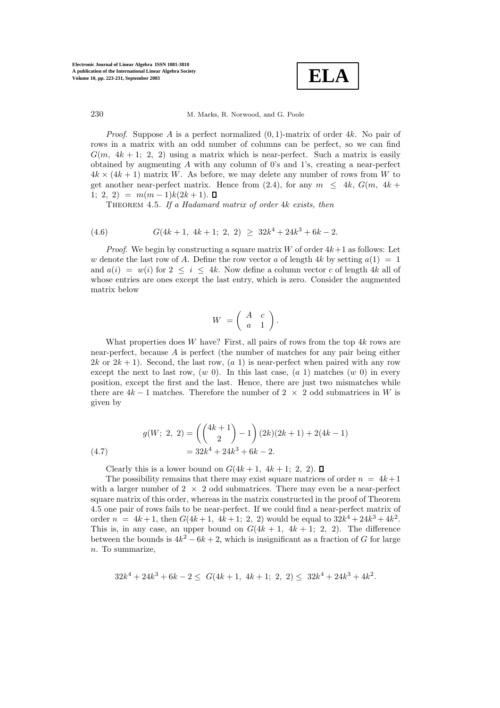

*Proof.* Suppose A is a perfect normalized  $(0, 1)$ -matrix of order 4k. No pair of rows in a matrix with an odd number of columns can be perfect, so we can find  $G(m, 4k + 1; 2, 2)$  using a matrix which is near-perfect. Such a matrix is easily obtained by augmenting  $A$  with any column of 0's and 1's, creating a near-perfect  $4k \times (4k+1)$  matrix W. As before, we may delete any number of rows from W to get another near-perfect matrix. Hence from (2.4), for any  $m \leq 4k$ ,  $G(m, 4k +$ 1; 2, 2) =  $m(m-1)k(2k+1)$ . □

THEOREM 4.5. If a Hadamard matrix of order 4k exists, then

(4.6) 
$$
G(4k+1, 4k+1; 2, 2) \geq 32k^4 + 24k^3 + 6k - 2.
$$

*Proof.* We begin by constructing a square matrix W of order  $4k+1$  as follows: Let w denote the last row of A. Define the row vector a of length  $4k$  by setting  $a(1) = 1$ and  $a(i) = w(i)$  for  $2 \le i \le 4k$ . Now define a column vector c of length 4k all of whose entries are ones except the last entry, which is zero. Consider the augmented matrix below

$$
W = \left( \begin{array}{cc} A & c \\ a & 1 \end{array} \right).
$$

What properties does W have? First, all pairs of rows from the top  $4k$  rows are near-perfect, because A is perfect (the number of matches for anypair being either  $2k$  or  $2k + 1$ ). Second, the last row,  $(a 1)$  is near-perfect when paired with any row except the next to last row,  $(w\ 0)$ . In this last case,  $(a\ 1)$  matches  $(w\ 0)$  in every position, except the first and the last. Hence, there are just two mismatches while there are  $4k-1$  matches. Therefore the number of 2  $\times$  2 odd submatrices in W is given by

(4.7) 
$$
g(W; 2, 2) = \left( \binom{4k+1}{2} - 1 \right) (2k)(2k+1) + 2(4k-1) = 32k^4 + 24k^3 + 6k - 2.
$$

Clearly this is a lower bound on  $G(4k + 1, 4k + 1; 2, 2)$ .

The possibility remains that there may exist square matrices of order  $n = 4k+1$ with a larger number of  $2 \times 2$  odd submatrices. There may even be a near-perfect square matrix of this order, whereas in the matrix constructed in the proof of Theorem 4.5 one pair of rows fails to be near-perfect. If we could find a near-perfect matrix of order  $n = 4k + 1$ , then  $G(4k + 1, 4k + 1; 2, 2)$  would be equal to  $32k^4 + 24k^3 + 4k^2$ . This is, in any case, an upper bound on  $G(4k + 1, 4k + 1; 2, 2)$ . The difference between the bounds is  $4k^2 - 6k + 2$ , which is insignificant as a fraction of G for large n. To summarize,

$$
32k^4 + 24k^3 + 6k - 2 \le G(4k + 1, 4k + 1; 2, 2) \le 32k^4 + 24k^3 + 4k^2.
$$